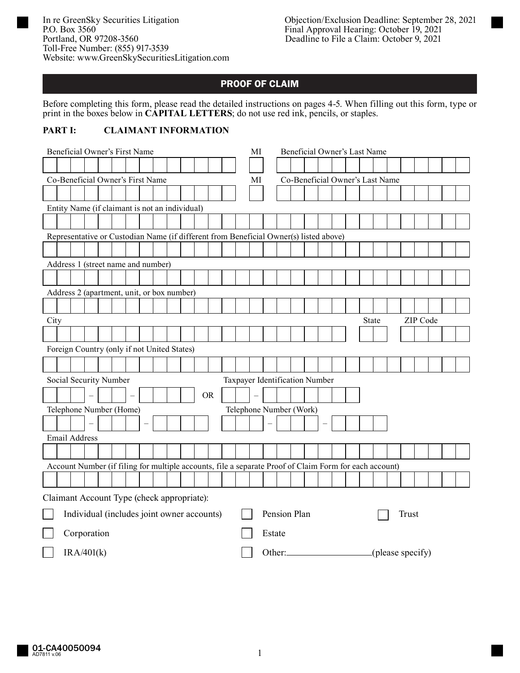# PROOF OF CLAIM

Before completing this form, please read the detailed instructions on pages 4-5. When filling out this form, type or print in the boxes below in **CAPITAL LETTERS**; do not use red ink, pencils, or staples.

## **PART I: CLAIMANT INFORMATION**

| Beneficial Owner's First Name                                              |                                                                                                        |  |            |  |  |  |  |  | MI                                    | Beneficial Owner's Last Name |  |           |  |  |  |  |                                |  |  |  |  |  |  |  |  |  |
|----------------------------------------------------------------------------|--------------------------------------------------------------------------------------------------------|--|------------|--|--|--|--|--|---------------------------------------|------------------------------|--|-----------|--|--|--|--|--------------------------------|--|--|--|--|--|--|--|--|--|
|                                                                            |                                                                                                        |  |            |  |  |  |  |  |                                       |                              |  |           |  |  |  |  |                                |  |  |  |  |  |  |  |  |  |
| Co-Beneficial Owner's First Name                                           |                                                                                                        |  |            |  |  |  |  |  | MI<br>Co-Beneficial Owner's Last Name |                              |  |           |  |  |  |  |                                |  |  |  |  |  |  |  |  |  |
|                                                                            |                                                                                                        |  |            |  |  |  |  |  |                                       |                              |  |           |  |  |  |  |                                |  |  |  |  |  |  |  |  |  |
|                                                                            | Entity Name (if claimant is not an individual)                                                         |  |            |  |  |  |  |  |                                       |                              |  |           |  |  |  |  |                                |  |  |  |  |  |  |  |  |  |
|                                                                            |                                                                                                        |  |            |  |  |  |  |  |                                       |                              |  |           |  |  |  |  |                                |  |  |  |  |  |  |  |  |  |
|                                                                            | Representative or Custodian Name (if different from Beneficial Owner(s) listed above)                  |  |            |  |  |  |  |  |                                       |                              |  |           |  |  |  |  |                                |  |  |  |  |  |  |  |  |  |
|                                                                            |                                                                                                        |  |            |  |  |  |  |  |                                       |                              |  |           |  |  |  |  |                                |  |  |  |  |  |  |  |  |  |
|                                                                            | Address 1 (street name and number)                                                                     |  |            |  |  |  |  |  |                                       |                              |  |           |  |  |  |  |                                |  |  |  |  |  |  |  |  |  |
|                                                                            |                                                                                                        |  |            |  |  |  |  |  |                                       |                              |  |           |  |  |  |  |                                |  |  |  |  |  |  |  |  |  |
|                                                                            | Address 2 (apartment, unit, or box number)                                                             |  |            |  |  |  |  |  |                                       |                              |  |           |  |  |  |  |                                |  |  |  |  |  |  |  |  |  |
|                                                                            |                                                                                                        |  |            |  |  |  |  |  |                                       |                              |  |           |  |  |  |  |                                |  |  |  |  |  |  |  |  |  |
|                                                                            | ZIP Code<br>City<br>State                                                                              |  |            |  |  |  |  |  |                                       |                              |  |           |  |  |  |  |                                |  |  |  |  |  |  |  |  |  |
|                                                                            |                                                                                                        |  |            |  |  |  |  |  |                                       |                              |  |           |  |  |  |  |                                |  |  |  |  |  |  |  |  |  |
|                                                                            | Foreign Country (only if not United States)                                                            |  |            |  |  |  |  |  |                                       |                              |  |           |  |  |  |  |                                |  |  |  |  |  |  |  |  |  |
|                                                                            |                                                                                                        |  |            |  |  |  |  |  |                                       |                              |  |           |  |  |  |  |                                |  |  |  |  |  |  |  |  |  |
|                                                                            | Social Security Number                                                                                 |  |            |  |  |  |  |  |                                       |                              |  |           |  |  |  |  | Taxpayer Identification Number |  |  |  |  |  |  |  |  |  |
|                                                                            |                                                                                                        |  |            |  |  |  |  |  |                                       |                              |  | <b>OR</b> |  |  |  |  |                                |  |  |  |  |  |  |  |  |  |
|                                                                            | Telephone Number (Home)                                                                                |  |            |  |  |  |  |  |                                       |                              |  |           |  |  |  |  | Telephone Number (Work)        |  |  |  |  |  |  |  |  |  |
|                                                                            |                                                                                                        |  |            |  |  |  |  |  |                                       |                              |  |           |  |  |  |  |                                |  |  |  |  |  |  |  |  |  |
|                                                                            | <b>Email Address</b>                                                                                   |  |            |  |  |  |  |  |                                       |                              |  |           |  |  |  |  |                                |  |  |  |  |  |  |  |  |  |
|                                                                            |                                                                                                        |  |            |  |  |  |  |  |                                       |                              |  |           |  |  |  |  |                                |  |  |  |  |  |  |  |  |  |
|                                                                            | Account Number (if filing for multiple accounts, file a separate Proof of Claim Form for each account) |  |            |  |  |  |  |  |                                       |                              |  |           |  |  |  |  |                                |  |  |  |  |  |  |  |  |  |
|                                                                            |                                                                                                        |  |            |  |  |  |  |  |                                       |                              |  |           |  |  |  |  |                                |  |  |  |  |  |  |  |  |  |
|                                                                            |                                                                                                        |  |            |  |  |  |  |  |                                       |                              |  |           |  |  |  |  |                                |  |  |  |  |  |  |  |  |  |
|                                                                            | Claimant Account Type (check appropriate):                                                             |  |            |  |  |  |  |  |                                       |                              |  |           |  |  |  |  |                                |  |  |  |  |  |  |  |  |  |
| Pension Plan<br>Individual (includes joint owner accounts)<br><b>Trust</b> |                                                                                                        |  |            |  |  |  |  |  |                                       |                              |  |           |  |  |  |  |                                |  |  |  |  |  |  |  |  |  |
| Corporation<br>Estate                                                      |                                                                                                        |  |            |  |  |  |  |  |                                       |                              |  |           |  |  |  |  |                                |  |  |  |  |  |  |  |  |  |
|                                                                            |                                                                                                        |  | IRA/401(k) |  |  |  |  |  |                                       |                              |  |           |  |  |  |  |                                |  |  |  |  |  |  |  |  |  |
|                                                                            | (please specify)                                                                                       |  |            |  |  |  |  |  |                                       |                              |  |           |  |  |  |  |                                |  |  |  |  |  |  |  |  |  |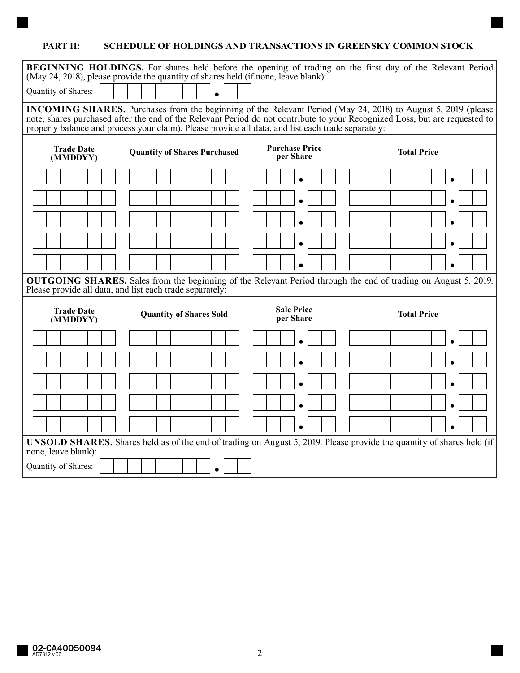## **PART II: SCHEDULE OF HOLDINGS AND TRANSACTIONS IN GREENSKY COMMON STOCK**

| BEGINNING HOLDINGS. For shares held before the opening of trading on the first day of the Relevant Period                                                                                                                         |                                |                                |                    |  |  |  |  |  |  |  |  |  |  |
|-----------------------------------------------------------------------------------------------------------------------------------------------------------------------------------------------------------------------------------|--------------------------------|--------------------------------|--------------------|--|--|--|--|--|--|--|--|--|--|
| (May 24, 2018), please provide the quantity of shares held (if none, leave blank):                                                                                                                                                |                                |                                |                    |  |  |  |  |  |  |  |  |  |  |
| Quantity of Shares:                                                                                                                                                                                                               |                                |                                |                    |  |  |  |  |  |  |  |  |  |  |
| INCOMING SHARES. Purchases from the beginning of the Relevant Period (May 24, 2018) to August 5, 2019 (please                                                                                                                     |                                |                                |                    |  |  |  |  |  |  |  |  |  |  |
| note, shares purchased after the end of the Relevant Period do not contribute to your Recognized Loss, but are requested to<br>properly balance and process your claim). Please provide all data, and list each trade separately: |                                |                                |                    |  |  |  |  |  |  |  |  |  |  |
|                                                                                                                                                                                                                                   |                                |                                |                    |  |  |  |  |  |  |  |  |  |  |
| <b>Purchase Price</b><br><b>Trade Date</b><br><b>Total Price</b><br><b>Quantity of Shares Purchased</b><br>per Share<br>(MMDDYY)                                                                                                  |                                |                                |                    |  |  |  |  |  |  |  |  |  |  |
|                                                                                                                                                                                                                                   |                                |                                |                    |  |  |  |  |  |  |  |  |  |  |
|                                                                                                                                                                                                                                   |                                |                                |                    |  |  |  |  |  |  |  |  |  |  |
|                                                                                                                                                                                                                                   |                                |                                |                    |  |  |  |  |  |  |  |  |  |  |
|                                                                                                                                                                                                                                   |                                |                                |                    |  |  |  |  |  |  |  |  |  |  |
|                                                                                                                                                                                                                                   |                                | $\bullet$                      | $\bullet$          |  |  |  |  |  |  |  |  |  |  |
| <b>OUTGOING SHARES.</b> Sales from the beginning of the Relevant Period through the end of trading on August 5. 2019.<br>Please provide all data, and list each trade separately:                                                 |                                |                                |                    |  |  |  |  |  |  |  |  |  |  |
|                                                                                                                                                                                                                                   |                                |                                |                    |  |  |  |  |  |  |  |  |  |  |
| <b>Trade Date</b><br>(MMDDYY)                                                                                                                                                                                                     | <b>Quantity of Shares Sold</b> | <b>Sale Price</b><br>per Share | <b>Total Price</b> |  |  |  |  |  |  |  |  |  |  |
|                                                                                                                                                                                                                                   |                                |                                |                    |  |  |  |  |  |  |  |  |  |  |
|                                                                                                                                                                                                                                   |                                |                                |                    |  |  |  |  |  |  |  |  |  |  |
|                                                                                                                                                                                                                                   |                                |                                |                    |  |  |  |  |  |  |  |  |  |  |
|                                                                                                                                                                                                                                   |                                |                                |                    |  |  |  |  |  |  |  |  |  |  |
|                                                                                                                                                                                                                                   |                                |                                |                    |  |  |  |  |  |  |  |  |  |  |
| <b>UNSOLD SHARES.</b> Shares held as of the end of trading on August 5, 2019. Please provide the quantity of shares held (if                                                                                                      |                                |                                |                    |  |  |  |  |  |  |  |  |  |  |
| none, leave blank):                                                                                                                                                                                                               |                                |                                |                    |  |  |  |  |  |  |  |  |  |  |
| Quantity of Shares:<br>$\bullet$                                                                                                                                                                                                  |                                |                                |                    |  |  |  |  |  |  |  |  |  |  |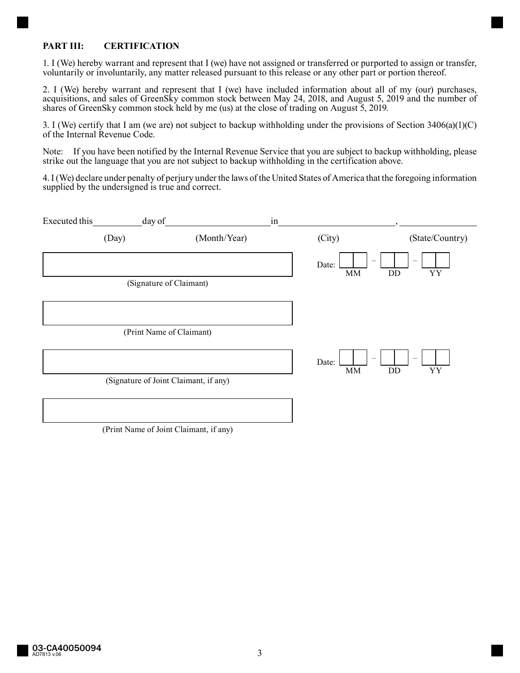## **PART III: CERTIFICATION**

1. I (We) hereby warrant and represent that I (we) have not assigned or transferred or purported to assign or transfer, voluntarily or involuntarily, any matter released pursuant to this release or any other part or portion thereof.

2. I (We) hereby warrant and represent that I (we) have included information about all of my (our) purchases, acquisitions, and sales of GreenSky common stock between May 24, 2018, and August 5, 2019 and the number of shares of GreenSky common stock held by me (us) at the close of trading on August 5, 2019.

3. I (We) certify that I am (we are) not subject to backup withholding under the provisions of Section 3406(a)(1)(C) of the Internal Revenue Code.

Note: If you have been notified by the Internal Revenue Service that you are subject to backup withholding, please strike out the language that you are not subject to backup withholding in the certification above.

4. I (We) declare under penalty of perjury under the laws of the United States of America that the foregoing information supplied by the undersigned is true and correct.

| Executed this | day of                                |                                                | in |                                        |                                |
|---------------|---------------------------------------|------------------------------------------------|----|----------------------------------------|--------------------------------|
|               | (Day)                                 | (Month/Year)                                   |    | (City)                                 | (State/Country)                |
|               |                                       |                                                |    | Date:<br>$\textmd{MM}$<br>DD           | YY                             |
|               | (Signature of Claimant)               |                                                |    |                                        |                                |
|               |                                       |                                                |    |                                        |                                |
|               | (Print Name of Claimant)              |                                                |    |                                        |                                |
|               |                                       |                                                |    | $\qquad \qquad -$<br>Date:<br>MM<br>DD | $\overline{\phantom{m}}$<br>YY |
|               | (Signature of Joint Claimant, if any) |                                                |    |                                        |                                |
|               |                                       |                                                |    |                                        |                                |
|               | $\sim$ $\sim$ $\sim$ $\sim$ $\sim$    | $2 \times 1$ and $2 \times 1$ and $2 \times 1$ |    |                                        |                                |

(Print Name of Joint Claimant, if any)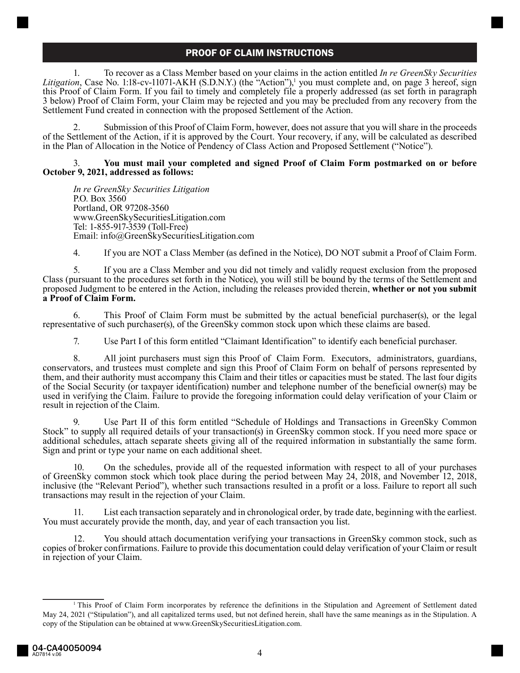## PROOF OF CLAIM INSTRUCTIONS

1. To recover as a Class Member based on your claims in the action entitled *In re GreenSky Securities*  Litigation, Case No. 1:18-cv-11071-AKH (S.D.N.Y.) (the "Action"),<sup>1</sup> you must complete and, on page 3 hereof, sign this Proof of Claim Form. If you fail to timely and completely file a properly addressed (as set forth in paragraph 3 below) Proof of Claim Form, your Claim may be rejected and you may be precluded from any recovery from the Settlement Fund created in connection with the proposed Settlement of the Action.

2. Submission of this Proof of Claim Form, however, does not assure that you will share in the proceeds of the Settlement of the Action, if it is approved by the Court. Your recovery, if any, will be calculated as described in the Plan of Allocation in the Notice of Pendency of Class Action and Proposed Settlement ("Notice").

#### 3. **You must mail your completed and signed Proof of Claim Form postmarked on or before October 9, 2021, addressed as follows:**

*In re GreenSky Securities Litigation* P.O. Box 3560 Portland, OR 97208-3560 www.GreenSkySecuritiesLitigation.com Tel: 1-855-917-3539 (Toll-Free) Email: info@GreenSkySecuritiesLitigation.com

4. If you are NOT a Class Member (as defined in the Notice), DO NOT submit a Proof of Claim Form.

5. If you are a Class Member and you did not timely and validly request exclusion from the proposed Class (pursuant to the procedures set forth in the Notice), you will still be bound by the terms of the Settlement and proposed Judgment to be entered in the Action, including the releases provided therein, **whether or not you submit a Proof of Claim Form.**

6. This Proof of Claim Form must be submitted by the actual beneficial purchaser(s), or the legal representative of such purchaser(s), of the GreenSky common stock upon which these claims are based.

7. Use Part I of this form entitled "Claimant Identification" to identify each beneficial purchaser.

8. All joint purchasers must sign this Proof of Claim Form. Executors, administrators, guardians, conservators, and trustees must complete and sign this Proof of Claim Form on behalf of persons represented by them, and their authority must accompany this Claim and their titles or capacities must be stated. The last four digits of the Social Security (or taxpayer identification) number and telephone number of the beneficial owner(s) may be used in verifying the Claim. Failure to provide the foregoing information could delay verification of your Claim or result in rejection of the Claim.

9. Use Part II of this form entitled "Schedule of Holdings and Transactions in GreenSky Common Stock" to supply all required details of your transaction(s) in GreenSky common stock. If you need more space or additional schedules, attach separate sheets giving all of the required information in substantially the same form. Sign and print or type your name on each additional sheet.

10. On the schedules, provide all of the requested information with respect to all of your purchases of GreenSky common stock which took place during the period between May 24, 2018, and November 12, 2018, inclusive (the "Relevant Period"), whether such transactions resulted in a profit or a loss. Failure to report all such transactions may result in the rejection of your Claim.

11. List each transaction separately and in chronological order, by trade date, beginning with the earliest. You must accurately provide the month, day, and year of each transaction you list.

12. You should attach documentation verifying your transactions in GreenSky common stock, such as copies of broker confirmations. Failure to provide this documentation could delay verification of your Claim or result in rejection of your Claim.

<sup>&</sup>lt;sup>1</sup>This Proof of Claim Form incorporates by reference the definitions in the Stipulation and Agreement of Settlement dated May 24, 2021 ("Stipulation"), and all capitalized terms used, but not defined herein, shall have the same meanings as in the Stipulation. A copy of the Stipulation can be obtained at www.GreenSkySecuritiesLitigation.com.